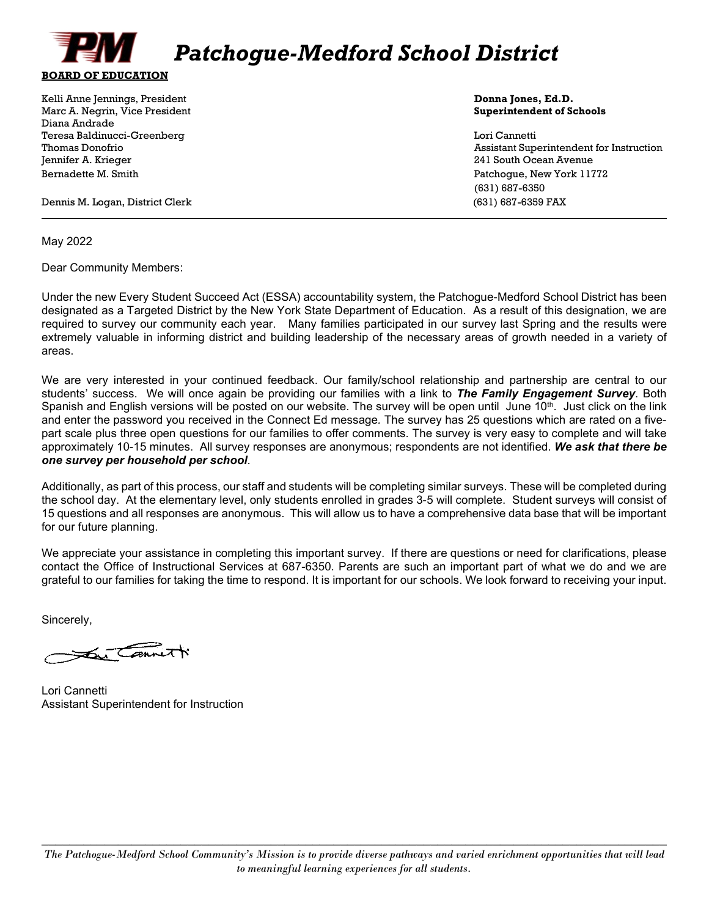

Kelli Anne Jennings, President **Donna Jones, Ed.D. Donna Jones, Ed.D. Donna Jones, Ed.D.** Marc A. Negrin, Vice President **Superintendent of Schools** Diana Andrade Teresa Baldinucci-Greenberg Lori Cannetti Jennifer A. Krieger 241 South Ocean Avenue Bernadette M. Smith Patchogue, New York 11772

Thomas Donofrio Assistant Superintendent for Instruction (631) 687-6350

Dennis M. Logan, District Clerk (631) 687-6359 FAX

May 2022

Dear Community Members:

Under the new Every Student Succeed Act (ESSA) accountability system, the Patchogue-Medford School District has been designated as a Targeted District by the New York State Department of Education. As a result of this designation, we are required to survey our community each year. Many families participated in our survey last Spring and the results were extremely valuable in informing district and building leadership of the necessary areas of growth needed in a variety of areas.

We are very interested in your continued feedback. Our family/school relationship and partnership are central to our students' success. We will once again be providing our families with a link to *The Family Engagement Survey*. Both Spanish and English versions will be posted on our website. The survey will be open until June  $10<sup>th</sup>$ . Just click on the link and enter the password you received in the Connect Ed message*.* The survey has 25 questions which are rated on a fivepart scale plus three open questions for our families to offer comments. The survey is very easy to complete and will take approximately 10-15 minutes. All survey responses are anonymous; respondents are not identified. *We ask that there be one survey per household per school*.

Additionally, as part of this process, our staff and students will be completing similar surveys. These will be completed during the school day. At the elementary level, only students enrolled in grades 3-5 will complete. Student surveys will consist of 15 questions and all responses are anonymous. This will allow us to have a comprehensive data base that will be important for our future planning.

We appreciate your assistance in completing this important survey. If there are questions or need for clarifications, please contact the Office of Instructional Services at 687-6350. Parents are such an important part of what we do and we are grateful to our families for taking the time to respond. It is important for our schools. We look forward to receiving your input.

Sincerely,

a Carnett

Lori Cannetti Assistant Superintendent for Instruction